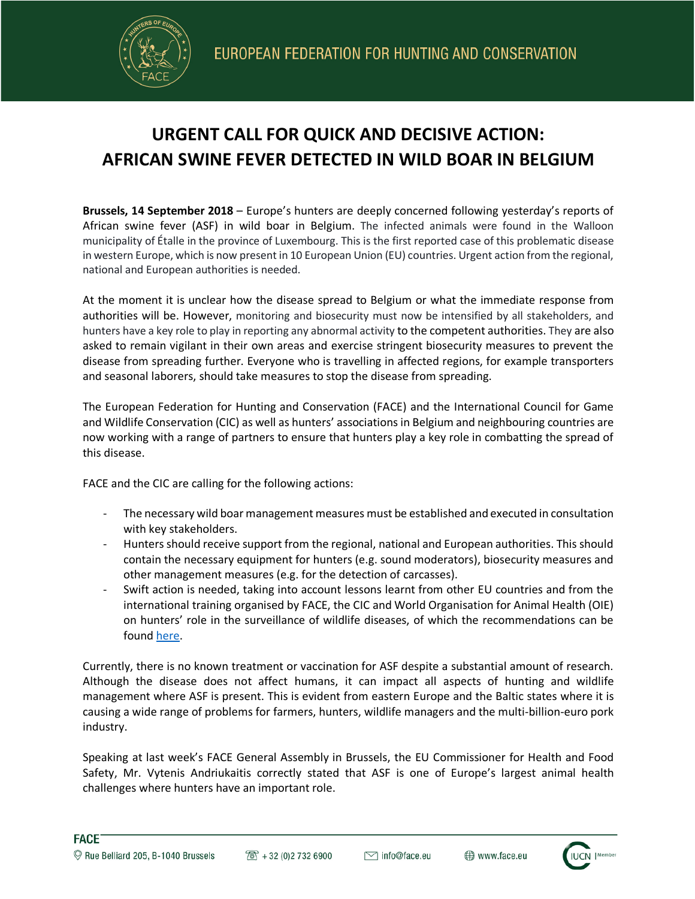

## **URGENT CALL FOR QUICK AND DECISIVE ACTION: AFRICAN SWINE FEVER DETECTED IN WILD BOAR IN BELGIUM**

**Brussels, 14 September 2018** – Europe's hunters are deeply concerned following yesterday's reports of African swine fever (ASF) in wild boar in Belgium. The infected animals were found in the Walloon municipality of Étalle in the province of Luxembourg. This is the first reported case of this problematic disease in western Europe, which is now present in 10 European Union (EU) countries. Urgent action from the regional, national and European authorities is needed.

At the moment it is unclear how the disease spread to Belgium or what the immediate response from authorities will be. However, monitoring and biosecurity must now be intensified by all stakeholders, and hunters have a key role to play in reporting any abnormal activity to the competent authorities. They are also asked to remain vigilant in their own areas and exercise stringent biosecurity measures to prevent the disease from spreading further. Everyone who is travelling in affected regions, for example transporters and seasonal laborers, should take measures to stop the disease from spreading.

The European Federation for Hunting and Conservation (FACE) and the International Council for Game and Wildlife Conservation (CIC) as well as hunters' associations in Belgium and neighbouring countries are now working with a range of partners to ensure that hunters play a key role in combatting the spread of this disease.

FACE and the CIC are calling for the following actions:

- The necessary wild boar management measures must be established and executed in consultation with key stakeholders.
- Hunters should receive support from the regional, national and European authorities. This should contain the necessary equipment for hunters (e.g. sound moderators), biosecurity measures and other management measures (e.g. for the detection of carcasses).
- Swift action is needed, taking into account lessons learnt from other EU countries and from the international training organised by FACE, the CIC and World Organisation for Animal Health (OIE) on hunters' role in the surveillance of wildlife diseases, of which the recommendations can be found here.

Currently, there is no known treatment or vaccination for ASF despite a substantial amount of research. Although the disease does not affect humans, it can impact all aspects of hunting and wildlife management where ASF is present. This is evident from eastern Europe and the Baltic states where it is causing a wide range of problems for farmers, hunters, wildlife managers and the multi-billion-euro pork industry.

Speaking at last week's FACE General Assembly in Brussels, the EU Commissioner for Health and Food Safety, Mr. Vytenis Andriukaitis correctly stated that ASF is one of Europe's largest animal health challenges where hunters have an important role.